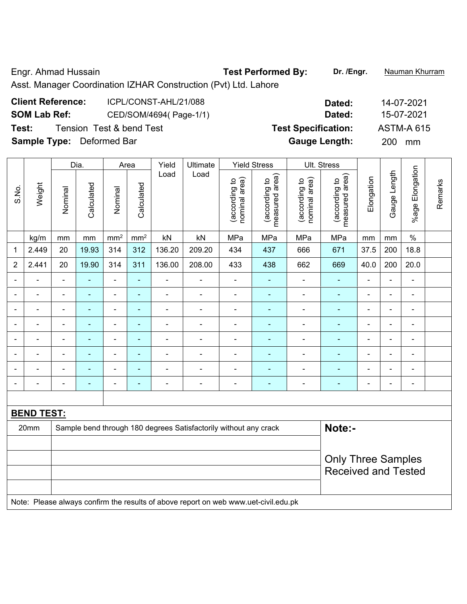Engr. Ahmad Hussain **Test Performed By:** Dr. /Engr. **Nauman Khurram** 

Asst. Manager Coordination IZHAR Construction (Pvt) Ltd. Lahore

| <b>Client Reference:</b>         | ICPL/CONST-AHL/21/088    | Dated:                     | 14-07-2021        |
|----------------------------------|--------------------------|----------------------------|-------------------|
| <b>SOM Lab Ref:</b>              | CED/SOM/4694(Page-1/1)   | Dated:                     | 15-07-2021        |
| Test:                            | Tension Test & bend Test | <b>Test Specification:</b> | <b>ASTM-A 615</b> |
| <b>Sample Type:</b> Deformed Bar |                          | <b>Gauge Length:</b>       | <b>200</b><br>mm  |

|                          |                   |                | Dia.           |                          | Area            | Yield          | Ultimate                                                                            |                                | <b>Yield Stress</b>             |                                | Ult. Stress                     |                |                |                          |         |
|--------------------------|-------------------|----------------|----------------|--------------------------|-----------------|----------------|-------------------------------------------------------------------------------------|--------------------------------|---------------------------------|--------------------------------|---------------------------------|----------------|----------------|--------------------------|---------|
| S.No.                    | Weight            | Nominal        | Calculated     | Nominal                  | Calculated      | Load           | Load                                                                                | (according to<br>nominal area) | (according to<br>measured area) | nominal area)<br>(according to | (according to<br>measured area) | Elongation     | Gauge Length   | %age Elongation          | Remarks |
|                          | kg/m              | mm             | mm             | mm <sup>2</sup>          | mm <sup>2</sup> | kN             | kN                                                                                  | MPa                            | MPa                             | MPa                            | MPa                             | mm             | mm             | $\%$                     |         |
| 1                        | 2.449             | 20             | 19.93          | 314                      | 312             | 136.20         | 209.20                                                                              | 434                            | 437                             | 666                            | 671                             | 37.5           | 200            | 18.8                     |         |
| $\overline{2}$           | 2.441             | 20             | 19.90          | 314                      | 311             | 136.00         | 208.00                                                                              | 433                            | 438                             | 662                            | 669                             | 40.0           | 200            | 20.0                     |         |
| $\blacksquare$           | $\blacksquare$    | $\blacksquare$ | $\blacksquare$ | $\blacksquare$           | $\blacksquare$  | ä,             | $\blacksquare$                                                                      | $\overline{\phantom{a}}$       | $\blacksquare$                  | $\blacksquare$                 | $\blacksquare$                  | $\blacksquare$ | $\blacksquare$ | $\blacksquare$           |         |
| $\overline{\phantom{0}}$ | ä,                | $\blacksquare$ | $\blacksquare$ | $\blacksquare$           | $\blacksquare$  | ÷,             | $\frac{1}{2}$                                                                       | $\blacksquare$                 | $\blacksquare$                  | $\blacksquare$                 | $\blacksquare$                  | $\blacksquare$ | ä,             | $\blacksquare$           |         |
| $\blacksquare$           | $\blacksquare$    | $\blacksquare$ | ÷,             | $\blacksquare$           | $\blacksquare$  | ÷,             | $\blacksquare$                                                                      | $\blacksquare$                 | $\blacksquare$                  | $\blacksquare$                 | $\blacksquare$                  | $\blacksquare$ | ä,             | $\blacksquare$           |         |
|                          | ÷                 | $\blacksquare$ | $\blacksquare$ | $\blacksquare$           | $\blacksquare$  | $\blacksquare$ | $\blacksquare$                                                                      | $\blacksquare$                 | $\blacksquare$                  | ÷                              | $\blacksquare$                  |                | Ē,             | $\blacksquare$           |         |
|                          |                   |                |                | $\blacksquare$           | $\blacksquare$  | $\blacksquare$ | $\blacksquare$                                                                      |                                | ÷                               |                                | $\blacksquare$                  |                | -              | Ē,                       |         |
| ۰                        | $\blacksquare$    | $\blacksquare$ | $\blacksquare$ | $\overline{\phantom{a}}$ | $\blacksquare$  | $\blacksquare$ | $\blacksquare$                                                                      |                                | ٠                               | ۰                              | $\overline{\phantom{0}}$        | $\blacksquare$ | $\blacksquare$ | $\blacksquare$           |         |
| $\blacksquare$           | ÷                 | $\blacksquare$ | ÷              | $\blacksquare$           | $\blacksquare$  | $\blacksquare$ | $\blacksquare$                                                                      |                                | ÷                               | ä,                             | $\blacksquare$                  | $\blacksquare$ | ä,             | $\blacksquare$           |         |
| ۰                        | $\blacksquare$    | $\blacksquare$ | $\blacksquare$ | $\blacksquare$           | $\blacksquare$  | $\blacksquare$ | $\overline{\phantom{a}}$                                                            | $\blacksquare$                 | $\blacksquare$                  | ÷,                             | $\blacksquare$                  | $\blacksquare$ | $\blacksquare$ | $\overline{\phantom{a}}$ |         |
|                          |                   |                |                |                          |                 |                |                                                                                     |                                |                                 |                                |                                 |                |                |                          |         |
|                          | <b>BEND TEST:</b> |                |                |                          |                 |                |                                                                                     |                                |                                 |                                |                                 |                |                |                          |         |
|                          | 20mm              |                |                |                          |                 |                | Sample bend through 180 degrees Satisfactorily without any crack                    |                                |                                 |                                | Note:-                          |                |                |                          |         |
|                          |                   |                |                |                          |                 |                |                                                                                     |                                |                                 |                                |                                 |                |                |                          |         |
|                          |                   |                |                |                          |                 |                |                                                                                     |                                |                                 |                                | <b>Only Three Samples</b>       |                |                |                          |         |
|                          |                   |                |                |                          |                 |                |                                                                                     |                                |                                 |                                | <b>Received and Tested</b>      |                |                |                          |         |
|                          |                   |                |                |                          |                 |                |                                                                                     |                                |                                 |                                |                                 |                |                |                          |         |
|                          |                   |                |                |                          |                 |                | Note: Please always confirm the results of above report on web www.uet-civil.edu.pk |                                |                                 |                                |                                 |                |                |                          |         |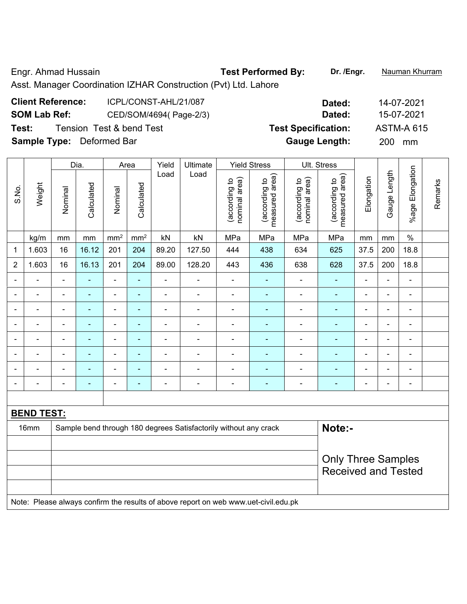Engr. Ahmad Hussain **Test Performed By:** Dr. /Engr. **Nauman Khurram** 

Asst. Manager Coordination IZHAR Construction (Pvt) Ltd. Lahore

| <b>Client Reference:</b>         | ICPL/CONST-AHL/21/087    | Dated:                     | 14-07-202        |
|----------------------------------|--------------------------|----------------------------|------------------|
| <b>SOM Lab Ref:</b>              | CED/SOM/4694(Page-2/3)   | Dated:                     | 15-07-202        |
| Test:                            | Tension Test & bend Test | <b>Test Specification:</b> | ASTM-A 61        |
| <b>Sample Type:</b> Deformed Bar |                          | <b>Gauge Length:</b>       | <b>200</b><br>mm |

|                              |                          |                | Dia.           |                 | Area                     | Yield          | Ultimate                                                                            |                                | <b>Yield Stress</b>             |                                | Ult. Stress                                             |                |                |                 |         |
|------------------------------|--------------------------|----------------|----------------|-----------------|--------------------------|----------------|-------------------------------------------------------------------------------------|--------------------------------|---------------------------------|--------------------------------|---------------------------------------------------------|----------------|----------------|-----------------|---------|
| S.No.                        | Weight                   | Nominal        | Calculated     | Nominal         | Calculated               | Load           | Load                                                                                | nominal area)<br>(according to | (according to<br>measured area) | (according to<br>nominal area) | (according to<br>measured area)                         | Elongation     | Gauge Length   | %age Elongation | Remarks |
|                              | kg/m                     | mm             | mm             | mm <sup>2</sup> | mm <sup>2</sup>          | kN             | kN                                                                                  | MPa                            | MPa                             | MPa                            | MPa                                                     | mm             | mm             | $\%$            |         |
| $\mathbf 1$                  | 1.603                    | 16             | 16.12          | 201             | 204                      | 89.20          | 127.50                                                                              | 444                            | 438                             | 634                            | 625                                                     | 37.5           | 200            | 18.8            |         |
| $\overline{2}$               | 1.603                    | 16             | 16.13          | 201             | 204                      | 89.00          | 128.20                                                                              | 443                            | 436                             | 638                            | 628                                                     | 37.5           | 200            | 18.8            |         |
| $\qquad \qquad \blacksquare$ | ÷                        | $\blacksquare$ | ä,             | $\overline{a}$  | $\blacksquare$           | $\blacksquare$ | $\blacksquare$                                                                      | $\blacksquare$                 | $\frac{1}{2}$                   | ÷                              | $\blacksquare$                                          | $\blacksquare$ | $\blacksquare$ | $\blacksquare$  |         |
| $\blacksquare$               | ä,                       | ä,             | $\blacksquare$ | $\blacksquare$  | $\overline{\phantom{a}}$ | $\blacksquare$ | $\blacksquare$                                                                      | $\blacksquare$                 | ÷,                              | ä,                             | $\blacksquare$                                          | $\blacksquare$ | ä,             | ä,              |         |
| $\blacksquare$               | ä,                       | ä,             | $\blacksquare$ | ÷,              | $\blacksquare$           | $\blacksquare$ | ÷,                                                                                  | $\blacksquare$                 | ÷,                              | $\blacksquare$                 | $\blacksquare$                                          | $\blacksquare$ | ä,             | $\blacksquare$  |         |
|                              |                          |                | $\blacksquare$ | $\blacksquare$  |                          | $\blacksquare$ | $\blacksquare$                                                                      | $\blacksquare$                 | $\blacksquare$                  |                                | $\blacksquare$                                          | $\blacksquare$ | L.             | $\blacksquare$  |         |
|                              |                          |                |                | $\blacksquare$  |                          |                | $\blacksquare$                                                                      | Ē,                             |                                 |                                | $\blacksquare$                                          | $\blacksquare$ | L.             | $\blacksquare$  |         |
| $\overline{\phantom{a}}$     | $\blacksquare$           | ä,             | ä,             | $\blacksquare$  | $\overline{\phantom{a}}$ | $\blacksquare$ | $\blacksquare$                                                                      | $\blacksquare$                 | $\blacksquare$                  | $\blacksquare$                 | $\blacksquare$                                          | $\blacksquare$ | $\blacksquare$ | $\blacksquare$  |         |
| $\blacksquare$               |                          | Ē,             | ä,             | $\blacksquare$  | $\overline{\phantom{a}}$ | $\blacksquare$ | $\blacksquare$                                                                      | $\blacksquare$                 |                                 | $\blacksquare$                 | $\blacksquare$                                          | $\blacksquare$ | ä,             | $\blacksquare$  |         |
| $\overline{\phantom{a}}$     | $\overline{\phantom{0}}$ | $\blacksquare$ | $\blacksquare$ | $\blacksquare$  | $\overline{\phantom{a}}$ | $\blacksquare$ | $\blacksquare$                                                                      | $\blacksquare$                 | $\blacksquare$                  | ÷                              | $\blacksquare$                                          | $\blacksquare$ | $\blacksquare$ | $\blacksquare$  |         |
|                              |                          |                |                |                 |                          |                |                                                                                     |                                |                                 |                                |                                                         |                |                |                 |         |
|                              | <b>BEND TEST:</b>        |                |                |                 |                          |                |                                                                                     |                                |                                 |                                |                                                         |                |                |                 |         |
|                              | 16mm                     |                |                |                 |                          |                | Sample bend through 180 degrees Satisfactorily without any crack                    |                                |                                 |                                | Note:-                                                  |                |                |                 |         |
|                              |                          |                |                |                 |                          |                |                                                                                     |                                |                                 |                                |                                                         |                |                |                 |         |
|                              |                          |                |                |                 |                          |                |                                                                                     |                                |                                 |                                | <b>Only Three Samples</b><br><b>Received and Tested</b> |                |                |                 |         |
|                              |                          |                |                |                 |                          |                | Note: Please always confirm the results of above report on web www.uet-civil.edu.pk |                                |                                 |                                |                                                         |                |                |                 |         |

**Client Reference:** ICPL/CONST-AHL/21/087 **Dated:** 14-07-2021 **S-07-2021 STM-A 615**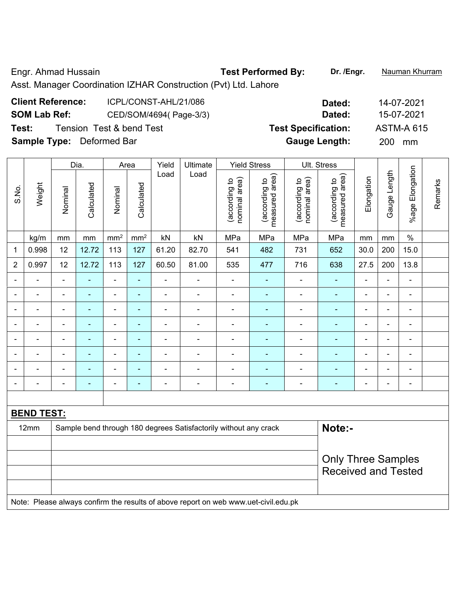Engr. Ahmad Hussain **Test Performed By:** Dr. /Engr. **Nauman Khurram** 

Asst. Manager Coordination IZHAR Construction (Pvt) Ltd. Lahore

| <b>Client Reference:</b>         | ICPL/CONST-AHL/21/086    | Dated:                     | 14-07-2021        |
|----------------------------------|--------------------------|----------------------------|-------------------|
| <b>SOM Lab Ref:</b>              | CED/SOM/4694(Page-3/3)   | Dated:                     | 15-07-2021        |
| Test:                            | Tension Test & bend Test | <b>Test Specification:</b> | <b>ASTM-A 615</b> |
| <b>Sample Type:</b> Deformed Bar |                          | <b>Gauge Length:</b>       | 200<br>mm         |

|                          |                          |                | Dia.       | Area                         |                 | Yield          | Ultimate                                                                            |                                | <b>Yield Stress</b>             |                                | Ult. Stress                     |                |                |                          |         |
|--------------------------|--------------------------|----------------|------------|------------------------------|-----------------|----------------|-------------------------------------------------------------------------------------|--------------------------------|---------------------------------|--------------------------------|---------------------------------|----------------|----------------|--------------------------|---------|
| S.No.                    | Weight                   | Nominal        | Calculated | Nominal                      | Calculated      | Load           | Load                                                                                | nominal area)<br>(according to | measured area)<br>(according to | (according to<br>nominal area) | measured area)<br>(according to | Elongation     | Gauge Length   | %age Elongation          | Remarks |
|                          | kg/m                     | mm             | mm         | mm <sup>2</sup>              | mm <sup>2</sup> | kN             | kN                                                                                  | MPa                            | MPa                             | MPa                            | MPa                             | mm             | mm             | $\%$                     |         |
| 1                        | 0.998                    | 12             | 12.72      | 113                          | 127             | 61.20          | 82.70                                                                               | 541                            | 482                             | 731                            | 652                             | 30.0           | 200            | 15.0                     |         |
| $\overline{2}$           | 0.997                    | 12             | 12.72      | 113                          | 127             | 60.50          | 81.00                                                                               | 535                            | 477                             | 716                            | 638                             | 27.5           | 200            | 13.8                     |         |
|                          |                          |                |            | ÷                            | ä,              |                | $\blacksquare$                                                                      |                                |                                 |                                | $\blacksquare$                  |                | L,             | ä,                       |         |
|                          |                          |                |            | ÷,                           |                 |                | $\blacksquare$                                                                      |                                |                                 |                                | ٠                               |                | ä,             | ۰                        |         |
| ۳                        | ۰                        | $\blacksquare$ | Ē.         | -                            | ۰               | $\blacksquare$ | $\overline{a}$                                                                      | $\overline{\phantom{0}}$       | $\blacksquare$                  | $\blacksquare$                 | $\blacksquare$                  | $\blacksquare$ | -              | ۰                        |         |
| $\overline{\phantom{0}}$ | $\blacksquare$           | $\blacksquare$ | ÷          | $\qquad \qquad \blacksquare$ | ۰               | $\blacksquare$ | $\blacksquare$                                                                      | $\blacksquare$                 | $\blacksquare$                  | ä,                             | $\blacksquare$                  | $\blacksquare$ | ä,             | $\blacksquare$           |         |
| -                        | $\overline{\phantom{a}}$ | $\overline{a}$ | ÷          | $\overline{\phantom{0}}$     | ÷               | $\blacksquare$ | $\blacksquare$                                                                      | $\overline{\phantom{a}}$       | $\blacksquare$                  | ÷                              | $\blacksquare$                  | $\overline{a}$ | $\blacksquare$ | $\blacksquare$           |         |
|                          | ۰                        | $\blacksquare$ | ÷          | $\overline{\phantom{a}}$     | ÷               | $\blacksquare$ | $\overline{a}$                                                                      | $\overline{\phantom{a}}$       | $\blacksquare$                  | $\blacksquare$                 | $\blacksquare$                  | $\blacksquare$ | $\overline{a}$ | $\overline{\phantom{0}}$ |         |
|                          |                          |                |            | ä,                           |                 |                | $\blacksquare$                                                                      | $\blacksquare$                 |                                 |                                | $\blacksquare$                  |                | Ē.             | $\blacksquare$           |         |
|                          |                          |                |            | -                            | ۰               | $\blacksquare$ | $\blacksquare$                                                                      |                                |                                 |                                | ۰                               | $\blacksquare$ | ä,             | ÷                        |         |
|                          |                          |                |            |                              |                 |                |                                                                                     |                                |                                 |                                |                                 |                |                |                          |         |
|                          | <b>BEND TEST:</b>        |                |            |                              |                 |                |                                                                                     |                                |                                 |                                |                                 |                |                |                          |         |
|                          | 12mm                     |                |            |                              |                 |                | Sample bend through 180 degrees Satisfactorily without any crack                    |                                |                                 |                                | Note:-                          |                |                |                          |         |
|                          |                          |                |            |                              |                 |                |                                                                                     |                                |                                 |                                |                                 |                |                |                          |         |
|                          |                          |                |            |                              |                 |                |                                                                                     |                                |                                 |                                | <b>Only Three Samples</b>       |                |                |                          |         |
|                          |                          |                |            |                              |                 |                |                                                                                     |                                |                                 |                                | <b>Received and Tested</b>      |                |                |                          |         |
|                          |                          |                |            |                              |                 |                | Note: Please always confirm the results of above report on web www.uet-civil.edu.pk |                                |                                 |                                |                                 |                |                |                          |         |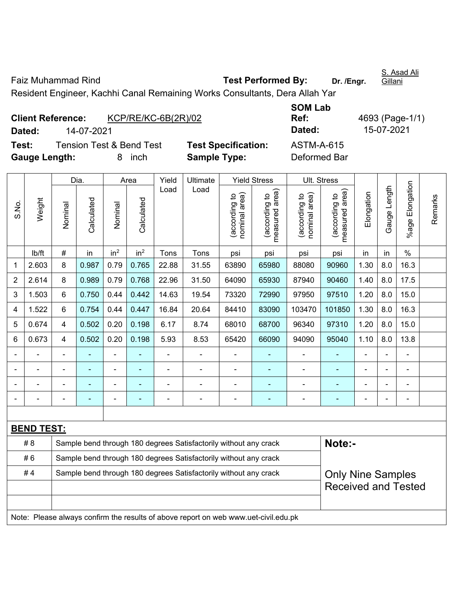Faiz Muhammad Rind **Test Performed By:** Dr. /Engr. Gillani Resident Engineer, Kachhi Canal Remaining Works Consultants, Dera Allah Yar

|                          |                                     |                       |                            | <b>SOM Lab</b>    |                 |
|--------------------------|-------------------------------------|-----------------------|----------------------------|-------------------|-----------------|
| <b>Client Reference:</b> |                                     | $KCP/RE/KC-6B(2R)/02$ |                            | Ref:              | 4693 (Page-1/1) |
| Dated:                   | 14-07-2021                          |                       |                            | Dated:            | 15-07-2021      |
| Test:                    | <b>Tension Test &amp; Bend Test</b> |                       | <b>Test Specification:</b> | <b>ASTM-A-615</b> |                 |
| <b>Gauge Length:</b>     |                                     | inch                  | <b>Sample Type:</b>        | Deformed Bar      |                 |

|                |                                                                                     |                | Dia.       |                                                                  | Area                     | Yield          | Ultimate                                                         |                                | <b>Yield Stress</b>                         | Ult. Stress                   |                                             |                |              |                              |         |
|----------------|-------------------------------------------------------------------------------------|----------------|------------|------------------------------------------------------------------|--------------------------|----------------|------------------------------------------------------------------|--------------------------------|---------------------------------------------|-------------------------------|---------------------------------------------|----------------|--------------|------------------------------|---------|
| S.No.          | Weight                                                                              | Nominal        | Calculated | Nominal                                                          | Calculated               | Load           | Load                                                             | nominal area)<br>(according to | (according to<br>neasured area)<br>measured | nominal area)<br>according to | (according to<br>neasured area)<br>measured | Elongation     | Gauge Length | Elongation<br>$%$ age        | Remarks |
|                | lb/ft                                                                               | #              | in         | in <sup>2</sup>                                                  | in <sup>2</sup>          | Tons           | Tons                                                             | psi                            | psi                                         | psi                           | psi                                         | in             | in           | $\%$                         |         |
| $\mathbf{1}$   | 2.603                                                                               | 8              | 0.987      | 0.79                                                             | 0.765                    | 22.88          | 31.55                                                            | 63890                          | 65980                                       | 88080                         | 90960                                       | 1.30           | 8.0          | 16.3                         |         |
| $\overline{2}$ | 2.614                                                                               | 8              | 0.989      | 0.79                                                             | 0.768                    | 22.96          | 31.50                                                            | 64090                          | 65930                                       | 87940                         | 90460                                       | 1.40           | 8.0          | 17.5                         |         |
| 3              | 1.503                                                                               | 6              | 0.750      | 0.44                                                             | 0.442                    | 14.63          | 19.54                                                            | 73320                          | 72990                                       | 97950                         | 97510                                       | 1.20           | 8.0          | 15.0                         |         |
| 4              | 1.522                                                                               | 6              | 0.754      | 0.44                                                             | 0.447                    | 16.84          | 20.64                                                            | 84410                          | 83090                                       | 103470                        | 101850                                      | 1.30           | 8.0          | 16.3                         |         |
| 5              | 0.674                                                                               | $\overline{4}$ | 0.502      | 0.20                                                             | 0.198                    | 6.17           | 8.74                                                             | 68010                          | 68700                                       | 96340                         | 97310                                       | 1.20           | 8.0          | 15.0                         |         |
| 6              | 0.673                                                                               | 4              | 0.502      | 0.20                                                             | 0.198                    | 5.93           | 8.53                                                             | 65420                          | 66090                                       | 94090                         | 95040                                       | 1.10           | 8.0          | 13.8                         |         |
|                |                                                                                     | ä,             | L,         | $\blacksquare$                                                   |                          | $\blacksquare$ | $\blacksquare$                                                   | ä,                             |                                             | $\blacksquare$                | ä,                                          | $\blacksquare$ |              | $\blacksquare$               |         |
|                |                                                                                     | $\blacksquare$ | ÷,         | $\qquad \qquad \blacksquare$                                     | $\overline{\phantom{a}}$ | $\blacksquare$ | $\overline{a}$                                                   | $\blacksquare$                 | ÷                                           | $\blacksquare$                | $\blacksquare$                              | $\blacksquare$ |              | $\qquad \qquad \blacksquare$ |         |
|                |                                                                                     |                |            | L.                                                               |                          |                | $\blacksquare$                                                   | ä,                             |                                             | Ē,                            | $\blacksquare$                              |                |              | $\blacksquare$               |         |
|                |                                                                                     |                |            |                                                                  |                          |                |                                                                  |                                |                                             |                               |                                             |                |              | ÷,                           |         |
|                |                                                                                     |                |            |                                                                  |                          |                |                                                                  |                                |                                             |                               |                                             |                |              |                              |         |
|                | <b>BEND TEST:</b>                                                                   |                |            |                                                                  |                          |                |                                                                  |                                |                                             |                               |                                             |                |              |                              |         |
|                | # 8                                                                                 |                |            |                                                                  |                          |                | Sample bend through 180 degrees Satisfactorily without any crack |                                |                                             |                               | Note:-                                      |                |              |                              |         |
|                | #6                                                                                  |                |            | Sample bend through 180 degrees Satisfactorily without any crack |                          |                |                                                                  |                                |                                             |                               |                                             |                |              |                              |         |
|                | #4                                                                                  |                |            |                                                                  |                          |                | Sample bend through 180 degrees Satisfactorily without any crack |                                |                                             |                               | <b>Only Nine Samples</b>                    |                |              |                              |         |
|                |                                                                                     |                |            |                                                                  |                          |                |                                                                  |                                |                                             |                               | <b>Received and Tested</b>                  |                |              |                              |         |
|                |                                                                                     |                |            |                                                                  |                          |                |                                                                  |                                |                                             |                               |                                             |                |              |                              |         |
|                | Note: Please always confirm the results of above report on web www.uet-civil.edu.pk |                |            |                                                                  |                          |                |                                                                  |                                |                                             |                               |                                             |                |              |                              |         |

S. Asad Ali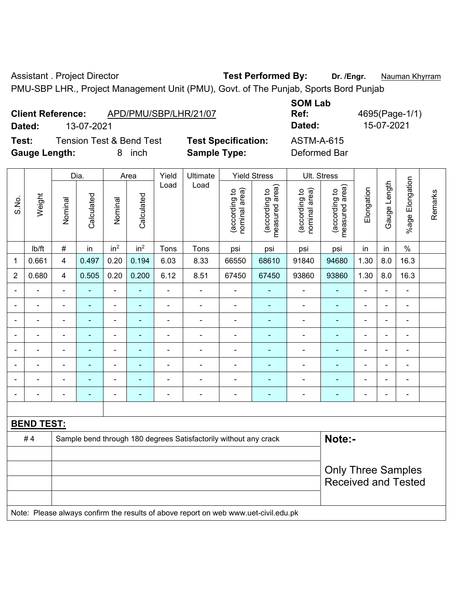Assistant . Project Director **Test Performed By:** Dr. /Engr. **Nauman Khyrram** 

PMU-SBP LHR., Project Management Unit (PMU), Govt. of The Punjab, Sports Bord Punjab

| <b>Client Reference:</b> | APD/PMU/SBP/LHR/21/07 |
|--------------------------|-----------------------|
|                          |                       |

**Test:** Tension Test & Bend Test **Test Specification:** ASTM-A-615 **Gauge Length:** 8 inch **Sample Type:** Deformed Bar

**SOM Lab Ref:** 4695(Page-1/1) **Dated:** 13-07-2021 **Dated:** 15-07-2021

|                |                                                                                     |                          | Dia.                     |                          | Area                     | Yield          | Ultimate                                                         |                                | <b>Yield Stress</b>             |                                | Ult. Stress                     |                |              |                              |         |
|----------------|-------------------------------------------------------------------------------------|--------------------------|--------------------------|--------------------------|--------------------------|----------------|------------------------------------------------------------------|--------------------------------|---------------------------------|--------------------------------|---------------------------------|----------------|--------------|------------------------------|---------|
| S.No.          | Weight                                                                              | Nominal                  | Calculated               | Nominal                  | Calculated               | Load           | Load                                                             | nominal area)<br>(according to | (according to<br>measured area) | nominal area)<br>(according to | (according to<br>measured area) | Elongation     | Gauge Length | Elongation<br>$%$ age        | Remarks |
|                | lb/ft                                                                               | $\#$                     | in                       | in <sup>2</sup>          | in <sup>2</sup>          | Tons           | Tons                                                             | psi                            | psi                             | psi                            | psi                             | in             | in           | $\%$                         |         |
| $\mathbf 1$    | 0.661                                                                               | $\overline{\mathbf{4}}$  | 0.497                    | 0.20                     | 0.194                    | 6.03           | 8.33                                                             | 66550                          | 68610                           | 91840                          | 94680                           | 1.30           | 8.0          | 16.3                         |         |
| $\overline{2}$ | 0.680                                                                               | $\overline{4}$           | 0.505                    | 0.20                     | 0.200                    | 6.12           | 8.51                                                             | 67450                          | 67450                           | 93860                          | 93860                           | 1.30           | 8.0          | 16.3                         |         |
|                |                                                                                     | $\overline{\phantom{0}}$ |                          | ÷,                       | $\blacksquare$           | $\blacksquare$ | ÷,                                                               | $\blacksquare$                 | ÷                               | ä,                             | $\blacksquare$                  | $\blacksquare$ |              | $\frac{1}{2}$                |         |
| $\blacksquare$ |                                                                                     | $\blacksquare$           | ä,                       | $\blacksquare$           | $\blacksquare$           | $\blacksquare$ | ä,                                                               | $\blacksquare$                 | ٠                               | $\blacksquare$                 | $\blacksquare$                  | $\blacksquare$ |              | $\qquad \qquad \blacksquare$ |         |
| $\blacksquare$ |                                                                                     | $\overline{\phantom{a}}$ | $\blacksquare$           | $\blacksquare$           | $\overline{\phantom{a}}$ | $\blacksquare$ | $\overline{\phantom{a}}$                                         | $\overline{\phantom{a}}$       | $\blacksquare$                  | $\overline{\phantom{a}}$       | $\blacksquare$                  | $\blacksquare$ |              | $\blacksquare$               |         |
| $\blacksquare$ | $\blacksquare$                                                                      | $\blacksquare$           | ä,                       | $\blacksquare$           | $\overline{\phantom{a}}$ | $\blacksquare$ | ÷                                                                | $\blacksquare$                 | ۰                               | $\blacksquare$                 | $\blacksquare$                  | $\blacksquare$ |              | $\blacksquare$               |         |
|                |                                                                                     |                          |                          | $\overline{\phantom{a}}$ |                          | L,             | $\overline{a}$                                                   | $\blacksquare$                 |                                 | $\blacksquare$                 | $\overline{a}$                  | $\blacksquare$ |              | $\blacksquare$               |         |
|                |                                                                                     | $\blacksquare$           |                          | $\blacksquare$           |                          | $\blacksquare$ | ä,                                                               | $\blacksquare$                 |                                 | $\blacksquare$                 |                                 | $\blacksquare$ |              | $\blacksquare$               |         |
|                |                                                                                     | Ē,                       | $\blacksquare$           | $\blacksquare$           |                          | $\blacksquare$ | $\blacksquare$                                                   | $\blacksquare$                 | ۰                               | ä,                             | $\blacksquare$                  | ä,             |              | $\blacksquare$               |         |
| $\blacksquare$ |                                                                                     | $\blacksquare$           | $\overline{\phantom{0}}$ | $\overline{\phantom{a}}$ | $\overline{\phantom{a}}$ | $\overline{a}$ | ÷                                                                | $\blacksquare$                 | ٠                               | $\blacksquare$                 | $\blacksquare$                  | $\blacksquare$ |              | $\qquad \qquad \blacksquare$ |         |
|                |                                                                                     |                          |                          |                          |                          |                |                                                                  |                                |                                 |                                |                                 |                |              |                              |         |
|                | <b>BEND TEST:</b>                                                                   |                          |                          |                          |                          |                |                                                                  |                                |                                 |                                |                                 |                |              |                              |         |
|                | #4                                                                                  |                          |                          |                          |                          |                | Sample bend through 180 degrees Satisfactorily without any crack |                                |                                 |                                | Note:-                          |                |              |                              |         |
|                |                                                                                     |                          |                          |                          |                          |                |                                                                  |                                |                                 |                                |                                 |                |              |                              |         |
|                |                                                                                     |                          |                          |                          |                          |                |                                                                  |                                |                                 |                                | <b>Only Three Samples</b>       |                |              |                              |         |
|                |                                                                                     |                          |                          |                          |                          |                |                                                                  |                                |                                 |                                | <b>Received and Tested</b>      |                |              |                              |         |
|                |                                                                                     |                          |                          |                          |                          |                |                                                                  |                                |                                 |                                |                                 |                |              |                              |         |
|                | Note: Please always confirm the results of above report on web www.uet-civil.edu.pk |                          |                          |                          |                          |                |                                                                  |                                |                                 |                                |                                 |                |              |                              |         |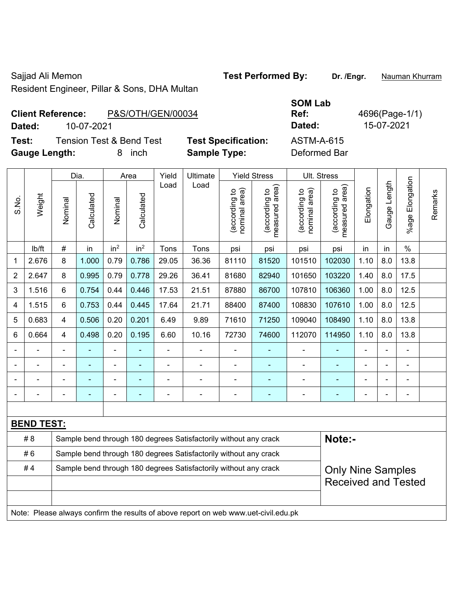Resident Engineer, Pillar & Sons, DHA Multan

Sajjad Ali Memon **Test Performed By:** Dr. /Engr. **Nauman Khurram** 

**SOM Lab Ref:** 4696(Page-1/1)

**Client Reference:** P&S/OTH/GEN/00034 **Dated:** 10-07-2021 **Dated:** 15-07-2021

**Test:** Tension Test & Bend Test **Test Specification:** ASTM-A-615 **Gauge Length:** 8 inch **Sample Type:** Deformed Bar

|                |                                                                                     |                | Dia.                     |                                                                  | Area                     | Yield | Ultimate                                                         |                                | <b>Yield Stress</b>             |                                | Ult. Stress                     |                |              |                       |         |
|----------------|-------------------------------------------------------------------------------------|----------------|--------------------------|------------------------------------------------------------------|--------------------------|-------|------------------------------------------------------------------|--------------------------------|---------------------------------|--------------------------------|---------------------------------|----------------|--------------|-----------------------|---------|
| S.No.          | Weight                                                                              | Nominal        | Calculated               | Nominal                                                          | Calculated               | Load  | Load                                                             | nominal area)<br>(according to | (according to<br>measured area) | (according to<br>nominal area) | (according to<br>measured area) | Elongation     | Gauge Length | Elongation<br>$%$ age | Remarks |
|                | lb/ft                                                                               | $\#$           | in                       | in <sup>2</sup>                                                  | in <sup>2</sup>          | Tons  | Tons                                                             | psi                            | psi                             | psi                            | psi                             | in             | in           | $\%$                  |         |
| 1              | 2.676                                                                               | 8              | 1.000                    | 0.79                                                             | 0.786                    | 29.05 | 36.36                                                            | 81110                          | 81520                           | 101510                         | 102030                          | 1.10           | 8.0          | 13.8                  |         |
| $\overline{2}$ | 2.647                                                                               | $\bf 8$        | 0.995                    | 0.79                                                             | 0.778                    | 29.26 | 36.41                                                            | 81680                          | 82940                           | 101650                         | 103220                          | 1.40           | 8.0          | 17.5                  |         |
| 3              | 1.516                                                                               | 6              | 0.754                    | 0.44                                                             | 0.446                    | 17.53 | 21.51                                                            | 87880                          | 86700                           | 107810                         | 106360                          | 1.00           | 8.0          | 12.5                  |         |
| 4              | 1.515                                                                               | 6              | 0.753                    | 0.44                                                             | 0.445                    | 17.64 | 21.71                                                            | 88400                          | 87400                           | 108830                         | 107610                          | 1.00           | 8.0          | 12.5                  |         |
| 5              | 0.683                                                                               | $\overline{4}$ | 0.506                    | 0.20                                                             | 0.201                    | 6.49  | 9.89                                                             | 71610                          | 71250                           | 109040                         | 108490                          | 1.10           | 8.0          | 13.8                  |         |
| 6              | 0.664                                                                               | $\overline{4}$ | 0.498                    | 0.20                                                             | 0.195                    | 6.60  | 10.16                                                            | 72730                          | 74600                           | 112070                         | 114950                          | 1.10           | 8.0          | 13.8                  |         |
|                |                                                                                     |                |                          | $\overline{a}$                                                   |                          |       |                                                                  |                                |                                 |                                |                                 | ÷              |              | $\overline{a}$        |         |
|                |                                                                                     |                |                          | $\blacksquare$                                                   |                          |       | $\blacksquare$                                                   | $\blacksquare$                 |                                 | Ē,                             |                                 |                |              |                       |         |
|                |                                                                                     |                | $\overline{\phantom{0}}$ | $\blacksquare$                                                   |                          |       | $\overline{a}$                                                   | $\blacksquare$                 | ۰                               |                                | $\overline{\phantom{0}}$        | $\blacksquare$ |              | $\blacksquare$        |         |
|                |                                                                                     |                |                          |                                                                  | $\overline{\phantom{a}}$ |       | ÷                                                                | ä,                             | $\blacksquare$                  | $\overline{\phantom{a}}$       | $\blacksquare$                  | $\overline{a}$ |              | ÷,                    |         |
|                |                                                                                     |                |                          |                                                                  |                          |       |                                                                  |                                |                                 |                                |                                 |                |              |                       |         |
|                | <b>BEND TEST:</b>                                                                   |                |                          |                                                                  |                          |       |                                                                  |                                |                                 |                                |                                 |                |              |                       |         |
|                | # 8                                                                                 |                |                          |                                                                  |                          |       | Sample bend through 180 degrees Satisfactorily without any crack |                                |                                 |                                | Note:-                          |                |              |                       |         |
|                | #6                                                                                  |                |                          | Sample bend through 180 degrees Satisfactorily without any crack |                          |       |                                                                  |                                |                                 |                                |                                 |                |              |                       |         |
|                | #4                                                                                  |                |                          |                                                                  |                          |       | Sample bend through 180 degrees Satisfactorily without any crack |                                |                                 |                                | <b>Only Nine Samples</b>        |                |              |                       |         |
|                |                                                                                     |                |                          |                                                                  |                          |       |                                                                  |                                |                                 |                                | <b>Received and Tested</b>      |                |              |                       |         |
|                |                                                                                     |                |                          |                                                                  |                          |       |                                                                  |                                |                                 |                                |                                 |                |              |                       |         |
|                | Note: Please always confirm the results of above report on web www.uet-civil.edu.pk |                |                          |                                                                  |                          |       |                                                                  |                                |                                 |                                |                                 |                |              |                       |         |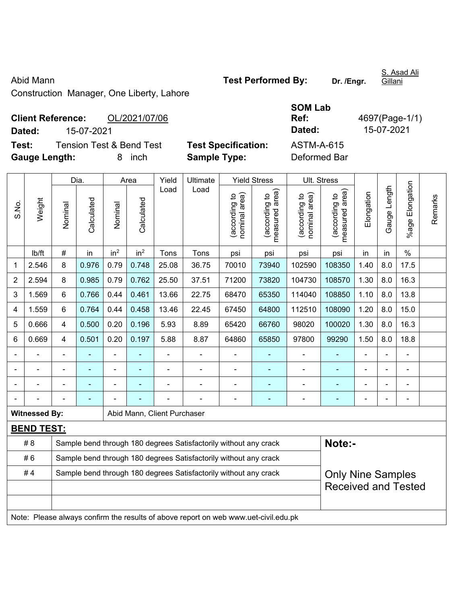Construction Manager, One Liberty, Lahore

|             | <b>Client Reference:</b> | OL/2021/07/06                       |
|-------------|--------------------------|-------------------------------------|
| Dated:      | 15-07-2021               |                                     |
| Test:       |                          | <b>Tension Test &amp; Bend Test</b> |
| A., I., 41. |                          |                                     |

**Test Specification:** ASTM-A-615 **Gauge Length:** 8 inch **Sample Type:** Deformed Bar

|                |                      |         | Dia.       |                 | Area            | Yield                       | Ultimate                                                                            |                                | <b>Yield Stress</b>             |                                | Ult. Stress                     |                |                |                    |         |
|----------------|----------------------|---------|------------|-----------------|-----------------|-----------------------------|-------------------------------------------------------------------------------------|--------------------------------|---------------------------------|--------------------------------|---------------------------------|----------------|----------------|--------------------|---------|
| S.No.          | Weight               | Nominal | Calculated | Nominal         | Calculated      | Load                        | Load                                                                                | (according to<br>nominal area) | measured area)<br>(according to | nominal area)<br>(according to | measured area)<br>(according to | Elongation     | Gauge Length   | Elongation<br>%age | Remarks |
|                | lb/ft                | $\#$    | in         | in <sup>2</sup> | in <sup>2</sup> | Tons                        | Tons                                                                                | psi                            | psi                             | psi                            | psi                             | in             | in             | $\%$               |         |
| 1              | 2.546                | 8       | 0.976      | 0.79            | 0.748           | 25.08                       | 36.75                                                                               | 70010                          | 73940                           | 102590                         | 108350                          | 1.40           | 8.0            | 17.5               |         |
| $\overline{2}$ | 2.594                | 8       | 0.985      | 0.79            | 0.762           | 25.50                       | 37.51                                                                               | 71200                          | 73820                           | 104730                         | 108570                          | 1.30           | 8.0            | 16.3               |         |
| 3              | 1.569                | 6       | 0.766      | 0.44            | 0.461           | 13.66                       | 22.75                                                                               | 68470                          | 65350                           | 114040                         | 108850                          | 1.10           | 8.0            | 13.8               |         |
| 4              | 1.559                | 6       | 0.764      | 0.44            | 0.458           | 13.46                       | 22.45                                                                               | 67450                          | 64800                           | 112510                         | 108090                          | 1.20           | 8.0            | 15.0               |         |
| 5              | 0.666                | 4       | 0.500      | 0.20            | 0.196           | 5.93                        | 8.89                                                                                | 65420                          | 66760                           | 98020                          | 100020                          | 1.30           | 8.0            | 16.3               |         |
| 6              | 0.669                | 4       | 0.501      | 0.20            | 0.197           | 5.88                        | 8.87                                                                                | 64860                          | 65850                           | 97800                          | 99290                           | 1.50           | 8.0            | 18.8               |         |
|                |                      |         | ä,         | L.              |                 |                             | ä,                                                                                  |                                |                                 |                                |                                 |                | ä,             |                    |         |
|                |                      |         |            |                 |                 |                             |                                                                                     | Ē,                             |                                 |                                |                                 |                |                |                    |         |
|                |                      |         |            | $\blacksquare$  |                 |                             |                                                                                     | $\overline{\phantom{a}}$       | $\blacksquare$                  |                                |                                 | $\blacksquare$ |                |                    |         |
|                |                      |         |            |                 |                 |                             |                                                                                     | L,                             |                                 |                                | ÷                               | L,             | $\blacksquare$ | ä,                 |         |
|                | <b>Witnessed By:</b> |         |            |                 |                 | Abid Mann, Client Purchaser |                                                                                     |                                |                                 |                                |                                 |                |                |                    |         |
|                | <b>BEND TEST:</b>    |         |            |                 |                 |                             |                                                                                     |                                |                                 |                                |                                 |                |                |                    |         |
|                | # 8                  |         |            |                 |                 |                             | Sample bend through 180 degrees Satisfactorily without any crack                    |                                |                                 |                                | Note:-                          |                |                |                    |         |
|                | #6                   |         |            |                 |                 |                             | Sample bend through 180 degrees Satisfactorily without any crack                    |                                |                                 |                                |                                 |                |                |                    |         |
|                | #4                   |         |            |                 |                 |                             | Sample bend through 180 degrees Satisfactorily without any crack                    |                                |                                 |                                | <b>Only Nine Samples</b>        |                |                |                    |         |
|                |                      |         |            |                 |                 |                             |                                                                                     |                                |                                 |                                | <b>Received and Tested</b>      |                |                |                    |         |
|                |                      |         |            |                 |                 |                             |                                                                                     |                                |                                 |                                |                                 |                |                |                    |         |
|                |                      |         |            |                 |                 |                             | Note: Please always confirm the results of above report on web www.uet-civil.edu.pk |                                |                                 |                                |                                 |                |                |                    |         |

**SOM Lab** 

**Ref:** 4697(Page-1/1) **Dated:** 15-07-2021 **Dated:** 15-07-2021

S. Asad Ali Gillani

Abid Mann **Abid Mann Test Performed By:** Dr. /Engr.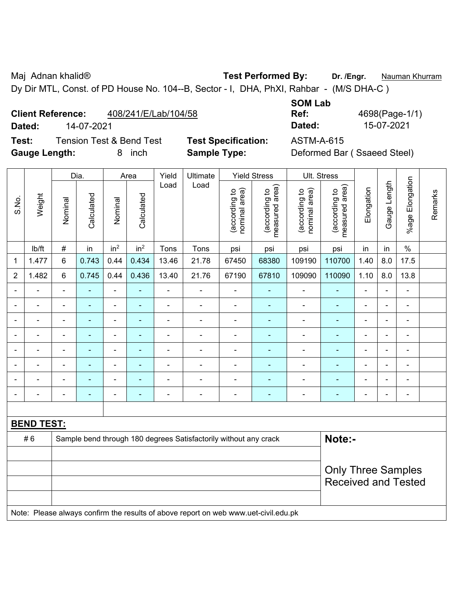Maj Adnan khalid® **Test Performed By: Dr. /Engr.** Nauman Khurram

Dy Dir MTL, Const. of PD House No. 104--B, Sector - I, DHA, PhXI, Rahbar - (M/S DHA-C )

### **Client Reference:** 408/241/E/Lab/104/58

**Dated:** 14-07-2021 **Dated:** 15-07-2021

**Test:** Tension Test & Bend Test **Test Specification:** ASTM-A-615 **Gauge Length:** 8 inch **Sample Type:** Deformed Bar ( Ssaeed Steel)

| <b>SOM Lab</b> |                |
|----------------|----------------|
| Ref:           | 4698(Page-1/1) |
| Dated:         | 15-07-2021     |

|                |                   | Dia.           |                | Area            |                 | Yield          | Ultimate<br>Load                                                                    |                                | <b>Yield Stress</b>             |                                | Ult. Stress                     |                |                |                          |         |
|----------------|-------------------|----------------|----------------|-----------------|-----------------|----------------|-------------------------------------------------------------------------------------|--------------------------------|---------------------------------|--------------------------------|---------------------------------|----------------|----------------|--------------------------|---------|
| S.No.          | Weight            | Nominal        | Calculated     | Nominal         | Calculated      | Load           |                                                                                     | (according to<br>nominal area) | (according to<br>measured area) | (according to<br>nominal area) | (according to<br>measured area) | Elongation     | Gauge Length   | %age Elongation          | Remarks |
|                | lb/ft             | $\#$           | in             | in <sup>2</sup> | in <sup>2</sup> | Tons           | Tons                                                                                | psi                            | psi                             | psi                            | psi                             | in             | in             | $\%$                     |         |
| 1              | 1.477             | $6\phantom{1}$ | 0.743          | 0.44            | 0.434           | 13.46          | 21.78                                                                               | 67450                          | 68380                           | 109190                         | 110700                          | 1.40           | 8.0            | 17.5                     |         |
| $\overline{2}$ | 1.482             | $6\phantom{1}$ | 0.745          | 0.44            | 0.436           | 13.40          | 21.76                                                                               | 67190                          | 67810                           | 109090                         | 110090                          | 1.10           | 8.0            | 13.8                     |         |
|                |                   |                |                | ä,              |                 |                |                                                                                     |                                |                                 | $\blacksquare$                 |                                 |                |                | $\blacksquare$           |         |
|                |                   |                | $\blacksquare$ | ÷,              |                 | $\blacksquare$ | $\blacksquare$                                                                      | $\blacksquare$                 |                                 | $\blacksquare$                 | ÷,                              | ä,             | $\blacksquare$ | $\blacksquare$           |         |
|                | $\blacksquare$    | $\blacksquare$ | $\blacksquare$ | ÷,              | ۰               | $\blacksquare$ | $\blacksquare$                                                                      | $\blacksquare$                 | $\blacksquare$                  | $\blacksquare$                 | ۰                               | $\blacksquare$ | ä,             | $\blacksquare$           |         |
|                | $\blacksquare$    |                | $\blacksquare$ | ÷,              |                 | $\overline{a}$ | $\overline{\phantom{0}}$                                                            | $\blacksquare$                 | ٠                               | $\blacksquare$                 | ٠                               | $\overline{a}$ | ÷              | $\overline{\phantom{a}}$ |         |
|                | $\blacksquare$    | $\blacksquare$ | $\blacksquare$ | ÷,              | ۰               | $\blacksquare$ | $\blacksquare$                                                                      | $\blacksquare$                 | $\blacksquare$                  | $\overline{\phantom{a}}$       | ÷                               | ä,             | ä,             | $\blacksquare$           |         |
|                |                   |                |                | ä,              |                 | ä,             |                                                                                     | ä,                             |                                 | Ē,                             | L.                              |                |                | $\blacksquare$           |         |
|                |                   |                |                | $\blacksquare$  |                 |                |                                                                                     |                                |                                 | $\blacksquare$                 |                                 |                |                |                          |         |
|                |                   | $\blacksquare$ | $\blacksquare$ | ÷               | ۰               | -              | $\overline{\phantom{0}}$                                                            | $\overline{\phantom{0}}$       | $\overline{a}$                  | -                              | ۰                               | $\overline{a}$ | $\blacksquare$ | $\overline{\phantom{a}}$ |         |
|                |                   |                |                |                 |                 |                |                                                                                     |                                |                                 |                                |                                 |                |                |                          |         |
|                | <b>BEND TEST:</b> |                |                |                 |                 |                |                                                                                     |                                |                                 |                                |                                 |                |                |                          |         |
|                | #6                |                |                |                 |                 |                | Sample bend through 180 degrees Satisfactorily without any crack                    |                                |                                 |                                | Note:-                          |                |                |                          |         |
|                |                   |                |                |                 |                 |                |                                                                                     |                                |                                 |                                |                                 |                |                |                          |         |
|                |                   |                |                |                 |                 |                |                                                                                     |                                |                                 |                                | <b>Only Three Samples</b>       |                |                |                          |         |
|                |                   |                |                |                 |                 |                |                                                                                     |                                |                                 | <b>Received and Tested</b>     |                                 |                |                |                          |         |
|                |                   |                |                |                 |                 |                | Note: Please always confirm the results of above report on web www.uet-civil.edu.pk |                                |                                 |                                |                                 |                |                |                          |         |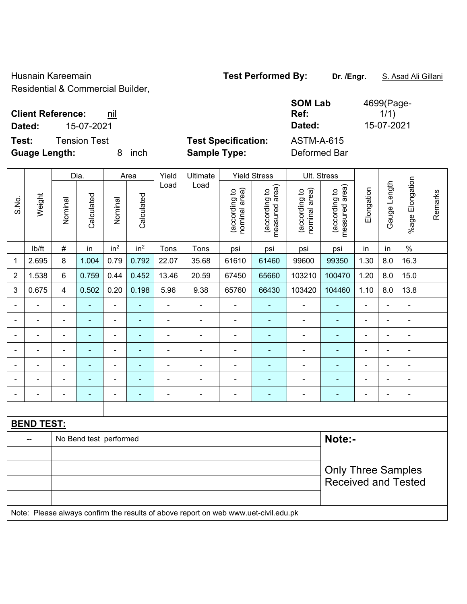Husnain Kareemain **Test Performed By:** Dr. /Engr. **S. Asad Ali Gillani** 

Residential & Commercial Builder,

### **Client Reference:** nil **SOM Lab Ref: Dated:** 15-07-2021 **Dated:** 15-07-2021 **Test:** Tension Test **Test Specification:** ASTM-A-615

ch **Sample Type:** Deformed Bar

|                | Weight            |                | Dia.                   |                 | Area            | Yield          | Ultimate       |                                | <b>Yield Stress</b>                | Ult. Stress                    |                                    |                |                 |                          |         |
|----------------|-------------------|----------------|------------------------|-----------------|-----------------|----------------|----------------|--------------------------------|------------------------------------|--------------------------------|------------------------------------|----------------|-----------------|--------------------------|---------|
| S.No.          |                   | Nominal        | Calculated             | Nominal         | Calculated      | Load           | Load           | nominal area)<br>(according to | area)<br>(according to<br>measured | nominal area)<br>(according to | area)<br>(according to<br>measured | Elongation     | Length<br>Gauge | Elongation<br>$%$ age    | Remarks |
|                | lb/ft             | $\#$           | in                     | in <sup>2</sup> | in <sup>2</sup> | Tons           | Tons           | psi                            | psi                                | psi                            | psi                                | in             | in              | $\%$                     |         |
| 1              | 2.695             | 8              | 1.004                  | 0.79            | 0.792           | 22.07          | 35.68          | 61610                          | 61460                              | 99600                          | 99350                              | 1.30           | 8.0             | 16.3                     |         |
| $\overline{2}$ | 1.538             | $\,6\,$        | 0.759                  | 0.44            | 0.452           | 13.46          | 20.59          | 67450                          | 65660                              | 103210                         | 100470                             | 1.20           | 8.0             | 15.0                     |         |
| 3              | 0.675             | 4              | 0.502                  | 0.20            | 0.198           | 5.96           | 9.38           | 65760                          | 66430                              | 103420                         | 104460                             | 1.10           | 8.0             | 13.8                     |         |
|                |                   | $\blacksquare$ | $\blacksquare$         | ۰               | ۰               | $\blacksquare$ |                |                                |                                    | $\blacksquare$                 | ۰                                  | $\blacksquare$ |                 | $\blacksquare$           |         |
|                |                   | $\blacksquare$ | ۰                      | $\overline{a}$  | ۰               |                |                |                                |                                    | $\overline{a}$                 | ۰                                  | ÷              | -               | $\blacksquare$           |         |
|                |                   | $\blacksquare$ |                        | -               |                 |                |                |                                |                                    | $\blacksquare$                 |                                    | $\blacksquare$ |                 | $\overline{\phantom{0}}$ |         |
|                |                   | $\blacksquare$ | ۰                      | ۰               | ۰               |                |                | $\blacksquare$                 |                                    | $\blacksquare$                 |                                    | ÷              |                 | $\blacksquare$           |         |
|                |                   | $\blacksquare$ | $\blacksquare$         | ۰               | $\blacksquare$  | $\blacksquare$ | $\blacksquare$ |                                | ٠                                  | $\blacksquare$                 | ۰                                  | $\blacksquare$ | $\blacksquare$  | $\blacksquare$           |         |
|                |                   | $\blacksquare$ | ۰                      | ۰               | ٠               | $\blacksquare$ | $\blacksquare$ | $\blacksquare$                 | $\blacksquare$                     | $\blacksquare$                 | ۰                                  | $\blacksquare$ | $\blacksquare$  | $\blacksquare$           |         |
|                |                   | $\blacksquare$ |                        | -               | ٠               |                | ٠              |                                |                                    | $\overline{a}$                 |                                    | -              | $\blacksquare$  | $\overline{\phantom{0}}$ |         |
|                |                   |                |                        |                 |                 |                |                |                                |                                    |                                |                                    |                |                 |                          |         |
|                | <b>BEND TEST:</b> |                |                        |                 |                 |                |                |                                |                                    |                                |                                    |                |                 |                          |         |
|                | --                |                | No Bend test performed |                 |                 |                |                |                                |                                    |                                | Note:-                             |                |                 |                          |         |
|                |                   |                |                        |                 |                 |                |                |                                |                                    |                                |                                    |                |                 |                          |         |

# Only Three Samples Received and Tested Note: Please always confirm the results of above report on web www.uet-civil.edu.pk

4699(Page- $1/1)$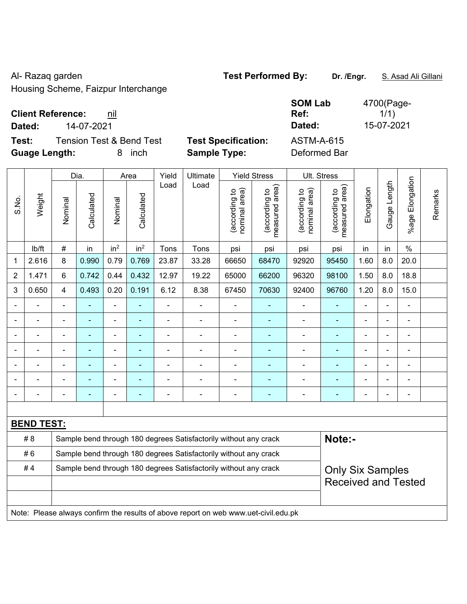Al- Razaq garden **Test Performed By:** Dr. /Engr. **S. Asad Ali Gillani** Al-

Housing Scheme, Faizpur Interchange

## **Client Reference: nil**

**Test:** Tension Test & Bend Test **Test Specification: Guage Length:** 8 inch **Sample Type:** Deformed Bar

| <b>Client Reference:</b><br>nil              |                            | <b>SOM Lab</b><br>Ref: | 4700(Page-<br>1/1) |
|----------------------------------------------|----------------------------|------------------------|--------------------|
| 14-07-2021<br>Dated:                         |                            | Dated:                 | 15-07-2021         |
| Test:<br>Tension Test & Bend Test            | <b>Test Specification:</b> | <b>ASTM-A-615</b>      |                    |
| $\bullet$ . I II . $\bullet$ . I . $\bullet$ |                            |                        |                    |

|                |                   | Dia.           |                          | Area            |                 | Yield          | Ultimate                                                                            | <b>Yield Stress</b>            |                                 | Ult. Stress                    |                                 |                |              |                       |         |
|----------------|-------------------|----------------|--------------------------|-----------------|-----------------|----------------|-------------------------------------------------------------------------------------|--------------------------------|---------------------------------|--------------------------------|---------------------------------|----------------|--------------|-----------------------|---------|
| S.No.          | Weight            | Nominal        | Calculated               | Nominal         | Calculated      | Load           | Load                                                                                | (according to<br>nominal area) | (according to<br>measured area) | nominal area)<br>(according to | (according to<br>measured area) | Elongation     | Gauge Length | Elongation<br>$%$ age | Remarks |
|                | lb/ft             | #              | in                       | in <sup>2</sup> | in <sup>2</sup> | Tons           | Tons                                                                                | psi                            | psi                             | psi                            | psi                             | in             | in           | $\frac{0}{0}$         |         |
| 1              | 2.616             | 8              | 0.990                    | 0.79            | 0.769           | 23.87          | 33.28                                                                               | 66650                          | 68470                           | 92920                          | 95450                           | 1.60           | 8.0          | 20.0                  |         |
| $\overline{2}$ | 1.471             | 6              | 0.742                    | 0.44            | 0.432           | 12.97          | 19.22                                                                               | 65000                          | 66200                           | 96320                          | 98100                           | 1.50           | 8.0          | 18.8                  |         |
| 3              | 0.650             | $\overline{4}$ | 0.493                    | 0.20            | 0.191           | 6.12           | 8.38                                                                                | 67450                          | 70630                           | 92400                          | 96760                           | 1.20           | 8.0          | 15.0                  |         |
|                |                   | $\blacksquare$ | ÷,                       | ٠               |                 | $\blacksquare$ | $\blacksquare$                                                                      | $\blacksquare$                 | ÷                               | $\overline{\phantom{a}}$       | $\blacksquare$                  | ä,             |              | ٠                     |         |
|                | ÷                 | $\blacksquare$ | $\blacksquare$           | ÷,              |                 | ä,             | ä,                                                                                  | $\blacksquare$                 |                                 | $\blacksquare$                 | $\blacksquare$                  | $\blacksquare$ |              | ä,                    |         |
|                | ÷                 | $\blacksquare$ | $\blacksquare$           | ÷,              |                 | ä,             | $\blacksquare$                                                                      | $\blacksquare$                 | $\blacksquare$                  | ä,                             | $\blacksquare$                  | $\overline{a}$ |              | ä,                    |         |
|                |                   |                | ۰                        | $\blacksquare$  |                 |                | $\blacksquare$                                                                      | $\blacksquare$                 |                                 | $\blacksquare$                 | $\blacksquare$                  | $\blacksquare$ |              |                       |         |
|                |                   |                |                          | ۰               |                 |                |                                                                                     |                                |                                 |                                |                                 |                |              | $\blacksquare$        |         |
|                |                   |                |                          | ۰               |                 |                |                                                                                     | $\blacksquare$                 |                                 |                                |                                 |                |              |                       |         |
|                |                   |                | $\overline{\phantom{0}}$ | ÷               |                 | Ē,             | $\blacksquare$                                                                      | $\blacksquare$                 | $\blacksquare$                  | ÷                              | $\blacksquare$                  | $\blacksquare$ |              | ä,                    |         |
|                |                   |                |                          |                 |                 |                |                                                                                     |                                |                                 |                                |                                 |                |              |                       |         |
|                | <b>BEND TEST:</b> |                |                          |                 |                 |                |                                                                                     |                                |                                 |                                |                                 |                |              |                       |         |
|                | # 8               |                |                          |                 |                 |                | Sample bend through 180 degrees Satisfactorily without any crack                    |                                |                                 |                                | Note:-                          |                |              |                       |         |
|                | #6                |                |                          |                 |                 |                | Sample bend through 180 degrees Satisfactorily without any crack                    |                                |                                 |                                |                                 |                |              |                       |         |
|                | #4                |                |                          |                 |                 |                | Sample bend through 180 degrees Satisfactorily without any crack                    |                                |                                 |                                | <b>Only Six Samples</b>         |                |              |                       |         |
|                |                   |                |                          |                 |                 |                |                                                                                     |                                |                                 | <b>Received and Tested</b>     |                                 |                |              |                       |         |
|                |                   |                |                          |                 |                 |                |                                                                                     |                                |                                 |                                |                                 |                |              |                       |         |
|                |                   |                |                          |                 |                 |                | Note: Please always confirm the results of above report on web www.uet-civil.edu.pk |                                |                                 |                                |                                 |                |              |                       |         |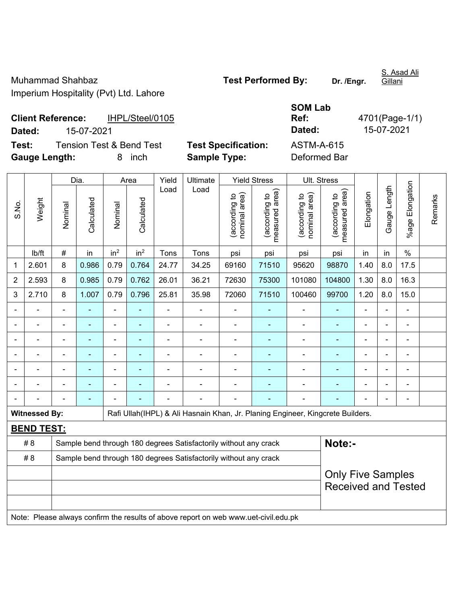Muhammad Shahbaz **Test Performed By:** Dr. /Engr. Imperium Hospitality (Pvt) Ltd. Lahore

S. Asad Ali **Gillani** 

**Client Reference:** IHPL/Steel/0105 **Dated:** 15-07-2021 **Dated:** 15-07-2021 **Test:** Tension Test & Bend Test **Test Specification:** ASTM-A-615

**Gauge Length:** 8 inch **Sample Type:** Deformed Bar

Dia. | Area | Yield | Ultimate | Yield Stress | Ult. Stress %age Elongation %age Elongation Gauge Length Load Load Gauge Length (according to<br>measured area) measured area) (according to<br>measured area) measured area) (according to<br>nominal area) (according to<br>nominal area) nominal area) nominal area) Elongation Elongation (according to (according to (according to (according to Remarks Remarks Weight **Calculated Calculated** Calculated Calculated S.No. Nominal Nominal Nominal Nominal | lb/ft | # | in | in<sup>2</sup> | in<sup>2</sup> | Tons | Tons | psi | psi | psi | psi | in | in | % 1 | 2.601 | 8 | 0.986 | 0.79 | 0.764 | 24.77 | 34.25 | 69160 | 71510 | 95620 | 98870 | 1.40 | 8.0 | 17.5 2 | 2.593 | 8 | 0.985 | 0.79 | 0.762 | 26.01 | 36.21 | 72630 | 75300 | 101080 | 104800 | 1.30 | 8.0 | 16.3 3 | 2.710 | 8 | 1.007 | 0.79 | 0.796 | 25.81 | 35.98 | 72060 | 71510 | 100460 | 99700 | 1.20 | 8.0 | 15.0 - - - - - - - - - - - - - - - - - - - - - - - - - - - - - - - - - - - - - - - - - - - - - - - - - - - - - - - - - - - - - - - - - - - - - - - - - - - - - - - - - - - - - - - - - - - - - - - - - - - - - - - - - Witnessed By: **Rafi Ullah**(IHPL) & Ali Hasnain Khan, Jr. Planing Engineer, Kingcrete Builders. **BEND TEST:**  # 8 Sample bend through 180 degrees Satisfactorily without any crack **Note:-**#8 Sample bend through 180 degrees Satisfactorily without any crack Only Five Samples Received and Tested Note: Please always confirm the results of above report on web www.uet-civil.edu.pk

**Ref:** 4701(Page-1/1)

**SOM Lab**